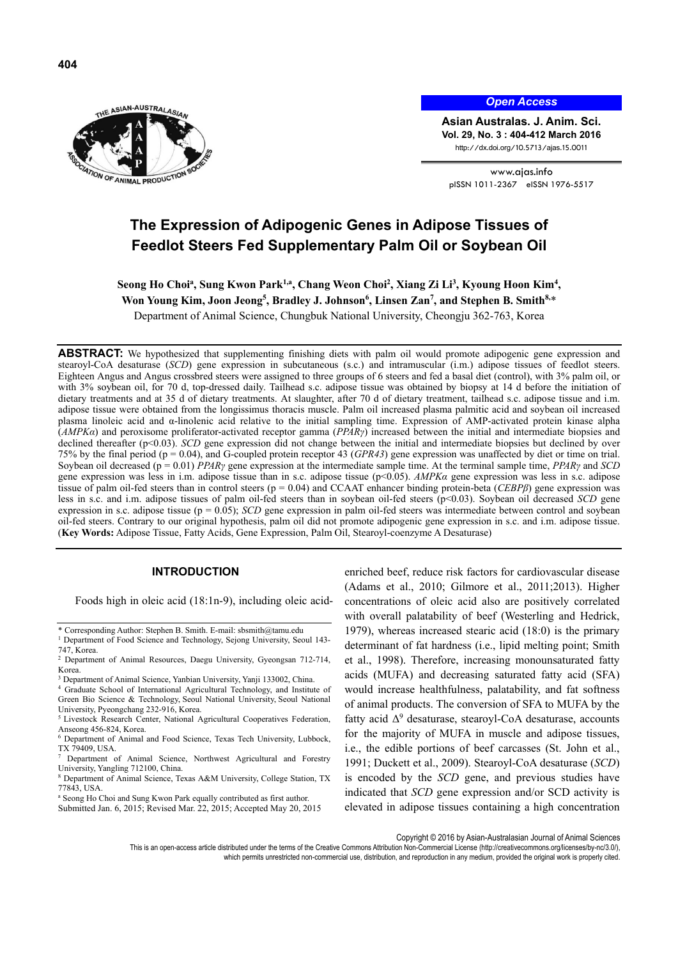

*Open Access*

**Asian Australas. J. Anim. Sci. Vol. 29, No. 3 : 404-412 March 2016**  http://dx.doi.org/10.5713/ajas.15.0011

www.ajas.info pISSN 1011-2367 eISSN 1976-5517

# **The Expression of Adipogenic Genes in Adipose Tissues of Feedlot Steers Fed Supplementary Palm Oil or Soybean Oil**

Seong Ho Choi<sup>a</sup>, Sung Kwon Park<sup>1,a</sup>, Chang Weon Choi<sup>2</sup>, Xiang Zi Li<sup>3</sup>, Kyoung Hoon Kim<sup>4</sup>, Won Young Kim, Joon Jeong<sup>5</sup>, Bradley J. Johnson<sup>6</sup>, Linsen Zan<sup>7</sup>, and Stephen B. Smith<sup>8,\*</sup>

Department of Animal Science, Chungbuk National University, Cheongju 362-763, Korea

**ABSTRACT:** We hypothesized that supplementing finishing diets with palm oil would promote adipogenic gene expression and stearoyl-CoA desaturase (*SCD*) gene expression in subcutaneous (s.c.) and intramuscular (i.m.) adipose tissues of feedlot steers. Eighteen Angus and Angus crossbred steers were assigned to three groups of 6 steers and fed a basal diet (control), with 3% palm oil, or with 3% soybean oil, for 70 d, top-dressed daily. Tailhead s.c. adipose tissue was obtained by biopsy at 14 d before the initiation of dietary treatments and at 35 d of dietary treatments. At slaughter, after 70 d of dietary treatment, tailhead s.c. adipose tissue and i.m. adipose tissue were obtained from the longissimus thoracis muscle. Palm oil increased plasma palmitic acid and soybean oil increased plasma linoleic acid and α-linolenic acid relative to the initial sampling time. Expression of AMP-activated protein kinase alpha (*AMPKα*) and peroxisome proliferator-activated receptor gamma (*PPARγ*) increased between the initial and intermediate biopsies and declined thereafter (p<0.03). *SCD* gene expression did not change between the initial and intermediate biopsies but declined by over 75% by the final period (p = 0.04), and G-coupled protein receptor 43 (*GPR43*) gene expression was unaffected by diet or time on trial. Soybean oil decreased (p = 0.01) *PPARγ* gene expression at the intermediate sample time. At the terminal sample time, *PPARγ* and *SCD* gene expression was less in i.m. adipose tissue than in s.c. adipose tissue (p<0.05). *AMPKα* gene expression was less in s.c. adipose tissue of palm oil-fed steers than in control steers (p = 0.04) and CCAAT enhancer binding protein-beta (*CEBPβ*) gene expression was less in s.c. and i.m. adipose tissues of palm oil-fed steers than in soybean oil-fed steers (p<0.03). Soybean oil decreased *SCD* gene expression in s.c. adipose tissue (p = 0.05); *SCD* gene expression in palm oil-fed steers was intermediate between control and soybean oil-fed steers. Contrary to our original hypothesis, palm oil did not promote adipogenic gene expression in s.c. and i.m. adipose tissue. (**Key Words:** Adipose Tissue, Fatty Acids, Gene Expression, Palm Oil, Stearoyl-coenzyme A Desaturase)

## **INTRODUCTION**

Foods high in oleic acid (18:1n-9), including oleic acid-

- \* Corresponding Author: Stephen B. Smith. E-mail: sbsmith@tamu.edu 1
- <sup>1</sup> Department of Food Science and Technology, Sejong University, Seoul 143-747, Korea.
- 2 Department of Animal Resources, Daegu University, Gyeongsan 712-714, Korea.
- <sup>3</sup> Department of Animal Science, Yanbian University, Yanji 133002, China.
- <sup>4</sup> Graduate School of International Agricultural Technology, and Institute of Green Bio Science & Technology, Seoul National University, Seoul National University, Pyeongchang 232-916, Korea.
- <sup>5</sup> Livestock Research Center, National Agricultural Cooperatives Federation, Anseong 456-824, Korea.
- 6 Department of Animal and Food Science, Texas Tech University, Lubbock, TX 79409, USA.
- 7 Department of Animal Science, Northwest Agricultural and Forestry University, Yangling 712100, China.
- 8 Department of Animal Science, Texas A&M University, College Station, TX 77843, USA.
- a Seong Ho Choi and Sung Kwon Park equally contributed as first author. Submitted Jan. 6, 2015; Revised Mar. 22, 2015; Accepted May 20, 2015

enriched beef, reduce risk factors for cardiovascular disease (Adams et al., 2010; Gilmore et al., 2011;2013). Higher concentrations of oleic acid also are positively correlated with overall palatability of beef (Westerling and Hedrick, 1979), whereas increased stearic acid (18:0) is the primary determinant of fat hardness (i.e., lipid melting point; Smith et al., 1998). Therefore, increasing monounsaturated fatty acids (MUFA) and decreasing saturated fatty acid (SFA) would increase healthfulness, palatability, and fat softness of animal products. The conversion of SFA to MUFA by the fatty acid  $\Delta^9$  desaturase, stearoyl-CoA desaturase, accounts for the majority of MUFA in muscle and adipose tissues, i.e., the edible portions of beef carcasses (St. John et al., 1991; Duckett et al., 2009). Stearoyl-CoA desaturase (*SCD*) is encoded by the *SCD* gene, and previous studies have indicated that *SCD* gene expression and/or SCD activity is elevated in adipose tissues containing a high concentration

Copyright © 2016 by Asian-Australasian Journal of Animal Sciences

This is an open-access article distributed under the terms of the Creative Commons Attribution Non-Commercial License (http://creativecommons.org/licenses/by-nc/3.0/), which permits unrestricted non-commercial use, distribution, and reproduction in any medium, provided the original work is properly cited.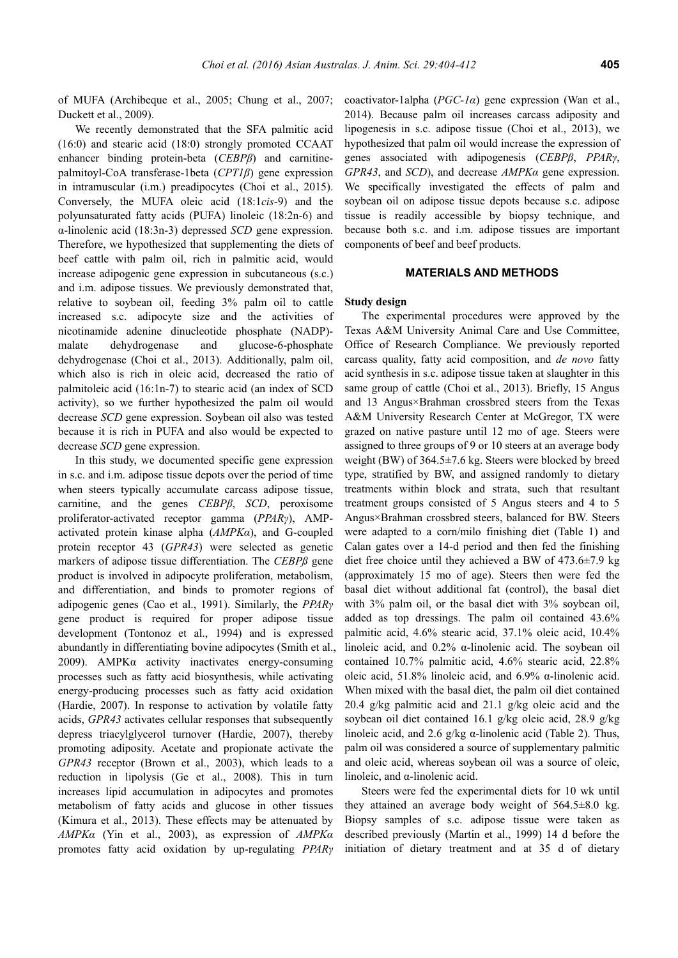of MUFA (Archibeque et al., 2005; Chung et al., 2007; Duckett et al., 2009).

We recently demonstrated that the SFA palmitic acid (16:0) and stearic acid (18:0) strongly promoted CCAAT enhancer binding protein-beta (*CEBPβ*) and carnitinepalmitoyl-CoA transferase-1beta (*CPT1β*) gene expression in intramuscular (i.m.) preadipocytes (Choi et al., 2015). Conversely, the MUFA oleic acid (18:1*cis*-9) and the polyunsaturated fatty acids (PUFA) linoleic (18:2n-6) and α-linolenic acid (18:3n-3) depressed *SCD* gene expression. Therefore, we hypothesized that supplementing the diets of beef cattle with palm oil, rich in palmitic acid, would increase adipogenic gene expression in subcutaneous (s.c.) and i.m. adipose tissues. We previously demonstrated that, relative to soybean oil, feeding 3% palm oil to cattle increased s.c. adipocyte size and the activities of nicotinamide adenine dinucleotide phosphate (NADP) malate dehydrogenase and glucose-6-phosphate dehydrogenase (Choi et al., 2013). Additionally, palm oil, which also is rich in oleic acid, decreased the ratio of palmitoleic acid (16:1n-7) to stearic acid (an index of SCD activity), so we further hypothesized the palm oil would decrease *SCD* gene expression. Soybean oil also was tested because it is rich in PUFA and also would be expected to decrease *SCD* gene expression.

In this study, we documented specific gene expression in s.c. and i.m. adipose tissue depots over the period of time when steers typically accumulate carcass adipose tissue, carnitine, and the genes *CEBPβ*, *SCD*, peroxisome proliferator-activated receptor gamma (*PPARγ*), AMPactivated protein kinase alpha (*AMPKα*), and G-coupled protein receptor 43 (*GPR43*) were selected as genetic markers of adipose tissue differentiation. The *CEBPß* gene product is involved in adipocyte proliferation, metabolism, and differentiation, and binds to promoter regions of adipogenic genes (Cao et al., 1991). Similarly, the *PPARγ* gene product is required for proper adipose tissue development (Tontonoz et al., 1994) and is expressed abundantly in differentiating bovine adipocytes (Smith et al., 2009). AMPK $\alpha$  activity inactivates energy-consuming processes such as fatty acid biosynthesis, while activating energy-producing processes such as fatty acid oxidation (Hardie, 2007). In response to activation by volatile fatty acids, *GPR43* activates cellular responses that subsequently depress triacylglycerol turnover (Hardie, 2007), thereby promoting adiposity. Acetate and propionate activate the *GPR43* receptor (Brown et al., 2003), which leads to a reduction in lipolysis (Ge et al., 2008). This in turn increases lipid accumulation in adipocytes and promotes metabolism of fatty acids and glucose in other tissues (Kimura et al., 2013). These effects may be attenuated by *AMPKα* (Yin et al., 2003), as expression of *AMPKα* promotes fatty acid oxidation by up-regulating *PPARγ* coactivator-1alpha (*PGC-1α*) gene expression (Wan et al., 2014). Because palm oil increases carcass adiposity and lipogenesis in s.c. adipose tissue (Choi et al., 2013), we hypothesized that palm oil would increase the expression of genes associated with adipogenesis (*CEBPβ*, *PPARγ*, *GPR43*, and *SCD*), and decrease *AMPKα* gene expression. We specifically investigated the effects of palm and soybean oil on adipose tissue depots because s.c. adipose tissue is readily accessible by biopsy technique, and because both s.c. and i.m. adipose tissues are important components of beef and beef products.

## **MATERIALS AND METHODS**

#### **Study design**

The experimental procedures were approved by the Texas A&M University Animal Care and Use Committee, Office of Research Compliance. We previously reported carcass quality, fatty acid composition, and *de novo* fatty acid synthesis in s.c. adipose tissue taken at slaughter in this same group of cattle (Choi et al., 2013). Briefly, 15 Angus and 13 Angus×Brahman crossbred steers from the Texas A&M University Research Center at McGregor, TX were grazed on native pasture until 12 mo of age. Steers were assigned to three groups of 9 or 10 steers at an average body weight (BW) of 364.5±7.6 kg. Steers were blocked by breed type, stratified by BW, and assigned randomly to dietary treatments within block and strata, such that resultant treatment groups consisted of 5 Angus steers and 4 to 5 Angus×Brahman crossbred steers, balanced for BW. Steers were adapted to a corn/milo finishing diet (Table 1) and Calan gates over a 14-d period and then fed the finishing diet free choice until they achieved a BW of 473.6±7.9 kg (approximately 15 mo of age). Steers then were fed the basal diet without additional fat (control), the basal diet with 3% palm oil, or the basal diet with 3% soybean oil, added as top dressings. The palm oil contained 43.6% palmitic acid, 4.6% stearic acid, 37.1% oleic acid, 10.4% linoleic acid, and 0.2% α-linolenic acid. The soybean oil contained 10.7% palmitic acid, 4.6% stearic acid, 22.8% oleic acid, 51.8% linoleic acid, and 6.9% α-linolenic acid. When mixed with the basal diet, the palm oil diet contained 20.4 g/kg palmitic acid and 21.1 g/kg oleic acid and the soybean oil diet contained 16.1 g/kg oleic acid, 28.9 g/kg linoleic acid, and 2.6 g/kg  $\alpha$ -linolenic acid (Table 2). Thus, palm oil was considered a source of supplementary palmitic and oleic acid, whereas soybean oil was a source of oleic, linoleic, and α-linolenic acid.

Steers were fed the experimental diets for 10 wk until they attained an average body weight of  $564.5\pm8.0$  kg. Biopsy samples of s.c. adipose tissue were taken as described previously (Martin et al., 1999) 14 d before the initiation of dietary treatment and at 35 d of dietary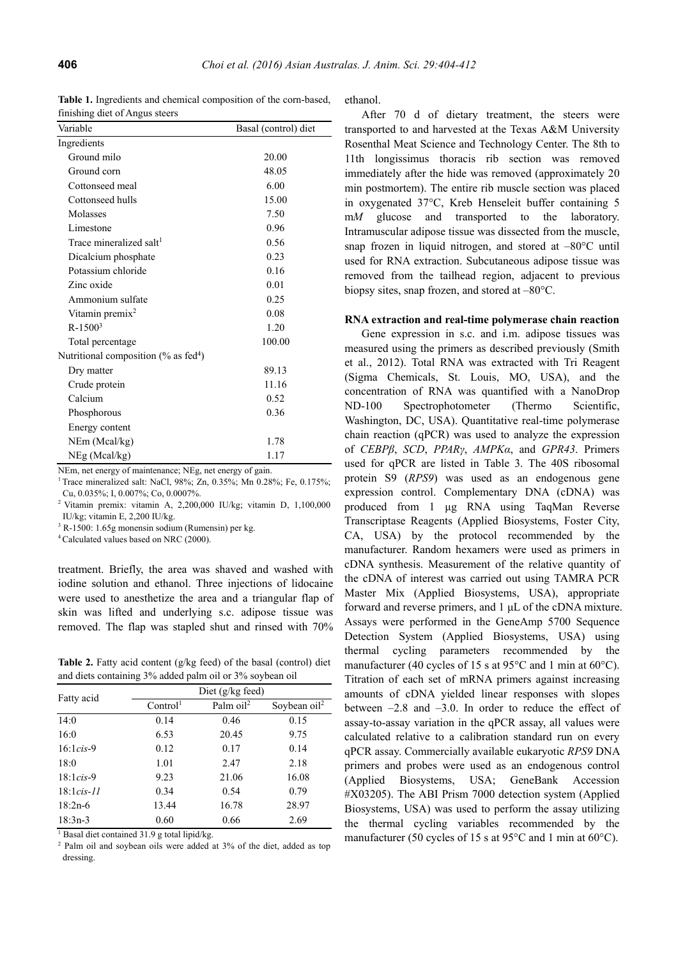**Table 1.** Ingredients and chemical composition of the corn-based, finishing diet of Angus steers

| Variable                                            | Basal (control) diet |
|-----------------------------------------------------|----------------------|
| Ingredients                                         |                      |
| Ground milo                                         | 20.00                |
| Ground corn                                         | 48.05                |
| Cottonseed meal                                     | 6.00                 |
| Cottonseed hulls                                    | 15.00                |
| Molasses                                            | 7.50                 |
| Limestone                                           | 0.96                 |
| Trace mineralized salt <sup>1</sup>                 | 0.56                 |
| Dicalcium phosphate                                 | 0.23                 |
| Potassium chloride                                  | 0.16                 |
| Zinc oxide                                          | 0.01                 |
| Ammonium sulfate                                    | 0.25                 |
| Vitamin premix <sup>2</sup>                         | 0.08                 |
| $R - 15003$                                         | 1.20                 |
| Total percentage                                    | 100.00               |
| Nutritional composition $(\%$ as fed <sup>4</sup> ) |                      |
| Dry matter                                          | 89.13                |
| Crude protein                                       | 11.16                |
| Calcium                                             | 0.52                 |
| Phosphorous                                         | 0.36                 |
| Energy content                                      |                      |
| NEm (Mcal/kg)                                       | 1.78                 |
| NEg (Mcal/kg)                                       | 1.17                 |

NEm, net energy of maintenance; NEg, net energy of gain.

<sup>1</sup> Trace mineralized salt: NaCl,  $98\%$ : Zn, 0.35%; Mn 0.28%; Fe, 0.175%; Cu, 0.035%; I, 0.007%; Co, 0.0007%.

2 Vitamin premix: vitamin A, 2,200,000 IU/kg; vitamin D, 1,100,000 IU/kg; vitamin E, 2,200 IU/kg.

3 R-1500: 1.65g monensin sodium (Rumensin) per kg.

4 Calculated values based on NRC (2000).

treatment. Briefly, the area was shaved and washed with iodine solution and ethanol. Three injections of lidocaine were used to anesthetize the area and a triangular flap of skin was lifted and underlying s.c. adipose tissue was removed. The flap was stapled shut and rinsed with 70%

**Table 2.** Fatty acid content (g/kg feed) of the basal (control) diet and diets containing 3% added palm oil or 3% soybean oil

| Fatty acid   | Diet $(g/kg \text{ feed})$ |              |                 |  |  |  |  |
|--------------|----------------------------|--------------|-----------------|--|--|--|--|
|              | Control <sup>1</sup>       | Palm $oil^2$ | Soybean $oil^2$ |  |  |  |  |
| 14:0         | 0.14                       | 0.46         | 0.15            |  |  |  |  |
| 16:0         | 6.53                       | 20.45        | 9.75            |  |  |  |  |
| $16:1cis-9$  | 0.12                       | 0.17         | 0.14            |  |  |  |  |
| 18:0         | 1.01                       | 2.47         | 2.18            |  |  |  |  |
| $18:1cis-9$  | 9.23                       | 21.06        | 16.08           |  |  |  |  |
| $18:1cis-11$ | 0.34                       | 0.54         | 0.79            |  |  |  |  |
| $18:2n-6$    | 13.44                      | 16.78        | 28.97           |  |  |  |  |
| $18:3n-3$    | 0.60                       | 0.66         | 2.69            |  |  |  |  |

<sup>1</sup> Basal diet contained 31.9 g total lipid/kg.

<sup>2</sup> Palm oil and soybean oils were added at 3% of the diet, added as top dressing.

ethanol.

After 70 d of dietary treatment, the steers were transported to and harvested at the Texas A&M University Rosenthal Meat Science and Technology Center. The 8th to 11th longissimus thoracis rib section was removed immediately after the hide was removed (approximately 20 min postmortem). The entire rib muscle section was placed in oxygenated 37°C, Kreb Henseleit buffer containing 5 m*M* glucose and transported to the laboratory. Intramuscular adipose tissue was dissected from the muscle, snap frozen in liquid nitrogen, and stored at –80°C until used for RNA extraction. Subcutaneous adipose tissue was removed from the tailhead region, adjacent to previous biopsy sites, snap frozen, and stored at –80°C.

# **RNA extraction and real-time polymerase chain reaction**

Gene expression in s.c. and i.m. adipose tissues was measured using the primers as described previously (Smith et al., 2012). Total RNA was extracted with Tri Reagent (Sigma Chemicals, St. Louis, MO, USA), and the concentration of RNA was quantified with a NanoDrop ND-100 Spectrophotometer (Thermo Scientific, Washington, DC, USA). Quantitative real-time polymerase chain reaction (qPCR) was used to analyze the expression of *CEBPβ*, *SCD*, *PPARγ*, *AMPKα*, and *GPR43*. Primers used for qPCR are listed in Table 3. The 40S ribosomal protein S9 (*RPS9*) was used as an endogenous gene expression control. Complementary DNA (cDNA) was produced from 1 μg RNA using TaqMan Reverse Transcriptase Reagents (Applied Biosystems, Foster City, CA, USA) by the protocol recommended by the manufacturer. Random hexamers were used as primers in cDNA synthesis. Measurement of the relative quantity of the cDNA of interest was carried out using TAMRA PCR Master Mix (Applied Biosystems, USA), appropriate forward and reverse primers, and 1 μL of the cDNA mixture. Assays were performed in the GeneAmp 5700 Sequence Detection System (Applied Biosystems, USA) using thermal cycling parameters recommended by the manufacturer (40 cycles of 15 s at 95°C and 1 min at 60°C). Titration of each set of mRNA primers against increasing amounts of cDNA yielded linear responses with slopes between  $-2.8$  and  $-3.0$ . In order to reduce the effect of assay-to-assay variation in the qPCR assay, all values were calculated relative to a calibration standard run on every qPCR assay. Commercially available eukaryotic *RPS9* DNA primers and probes were used as an endogenous control (Applied Biosystems, USA; GeneBank Accession #X03205). The ABI Prism 7000 detection system (Applied Biosystems, USA) was used to perform the assay utilizing the thermal cycling variables recommended by the manufacturer (50 cycles of 15 s at 95°C and 1 min at 60°C).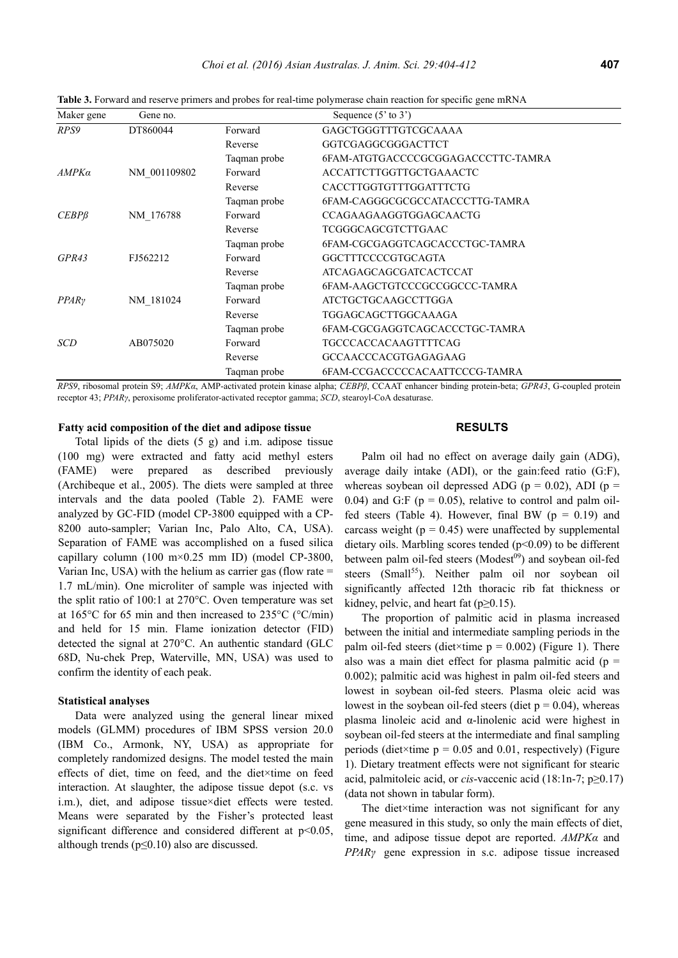| Maker gene        | Gene no.     |              | Sequence $(5'$ to $3')$            |  |  |  |  |
|-------------------|--------------|--------------|------------------------------------|--|--|--|--|
| RPS9              | DT860044     | Forward      | GAGCTGGGTTTGTCGCAAAA               |  |  |  |  |
|                   |              | Reverse      | GGTCGAGGCGGGACTTCT                 |  |  |  |  |
|                   |              | Taqman probe | 6FAM-ATGTGACCCCGCGGAGACCCTTC-TAMRA |  |  |  |  |
| AMPKa             | NM 001109802 | Forward      | <b>ACCATTCTTGGTTGCTGAAACTC</b>     |  |  |  |  |
|                   |              | Reverse      | <b>CACCTTGGTGTTTGGATTTCTG</b>      |  |  |  |  |
|                   |              | Taqman probe | 6FAM-CAGGGCGCGCCATACCCTTG-TAMRA    |  |  |  |  |
| $CEBP\beta$       | NM 176788    | Forward      | <b>CCAGAAGAAGGTGGAGCAACTG</b>      |  |  |  |  |
|                   |              | Reverse      | TCGGGCAGCGTCTTGAAC                 |  |  |  |  |
|                   |              | Taqman probe | 6FAM-CGCGAGGTCAGCACCCTGC-TAMRA     |  |  |  |  |
| GPR43             | FJ562212     | Forward      | GGCTTTCCCCGTGCAGTA                 |  |  |  |  |
|                   |              | Reverse      | <b>ATCAGAGCAGCGATCACTCCAT</b>      |  |  |  |  |
|                   |              | Taqman probe | 6FAM-AAGCTGTCCCGCCGGCCC-TAMRA      |  |  |  |  |
| PPAR <sub>Y</sub> | NM 181024    | Forward      | <b>ATCTGCTGCAAGCCTTGGA</b>         |  |  |  |  |
|                   |              | Reverse      | TGGAGCAGCTTGGCAAAGA                |  |  |  |  |
|                   |              | Taqman probe | 6FAM-CGCGAGGTCAGCACCCTGC-TAMRA     |  |  |  |  |
| <b>SCD</b>        | AB075020     | Forward      | <b>TGCCCACCACAAGTTTTCAG</b>        |  |  |  |  |
|                   |              | Reverse      | GCCAACCCACGTGAGAGAAG               |  |  |  |  |
|                   |              | Taqman probe | 6FAM-CCGACCCCCACAATTCCCG-TAMRA     |  |  |  |  |

**Table 3.** Forward and reserve primers and probes for real-time polymerase chain reaction for specific gene mRNA

*RPS9*, ribosomal protein S9; *AMPKα*, AMP-activated protein kinase alpha; *CEBPβ*, CCAAT enhancer binding protein-beta; *GPR43*, G-coupled protein receptor 43; *PPARγ*, peroxisome proliferator-activated receptor gamma; *SCD*, stearoyl-CoA desaturase.

# **Fatty acid composition of the diet and adipose tissue**

Total lipids of the diets (5 g) and i.m. adipose tissue (100 mg) were extracted and fatty acid methyl esters (FAME) were prepared as described previously (Archibeque et al., 2005). The diets were sampled at three intervals and the data pooled (Table 2). FAME were analyzed by GC-FID (model CP-3800 equipped with a CP-8200 auto-sampler; Varian Inc, Palo Alto, CA, USA). Separation of FAME was accomplished on a fused silica capillary column (100 m $\times$ 0.25 mm ID) (model CP-3800, Varian Inc, USA) with the helium as carrier gas (flow rate  $=$ 1.7 mL/min). One microliter of sample was injected with the split ratio of 100:1 at 270°C. Oven temperature was set at 165°C for 65 min and then increased to 235°C (°C/min) and held for 15 min. Flame ionization detector (FID) detected the signal at 270°C. An authentic standard (GLC 68D, Nu-chek Prep, Waterville, MN, USA) was used to confirm the identity of each peak.

#### **Statistical analyses**

Data were analyzed using the general linear mixed models (GLMM) procedures of IBM SPSS version 20.0 (IBM Co., Armonk, NY, USA) as appropriate for completely randomized designs. The model tested the main effects of diet, time on feed, and the diet×time on feed interaction. At slaughter, the adipose tissue depot (s.c. vs i.m.), diet, and adipose tissue×diet effects were tested. Means were separated by the Fisher's protected least significant difference and considered different at  $p<0.05$ , although trends ( $p \le 0.10$ ) also are discussed.

## **RESULTS**

Palm oil had no effect on average daily gain (ADG), average daily intake (ADI), or the gain:feed ratio (G:F), whereas soybean oil depressed ADG ( $p = 0.02$ ), ADI ( $p =$ 0.04) and G:F ( $p = 0.05$ ), relative to control and palm oilfed steers (Table 4). However, final BW ( $p = 0.19$ ) and carcass weight ( $p = 0.45$ ) were unaffected by supplemental dietary oils. Marbling scores tended  $(p<0.09)$  to be different between palm oil-fed steers (Modest<sup>09</sup>) and soybean oil-fed steers (Small<sup>55</sup>). Neither palm oil nor soybean oil significantly affected 12th thoracic rib fat thickness or kidney, pelvic, and heart fat  $(p \ge 0.15)$ .

The proportion of palmitic acid in plasma increased between the initial and intermediate sampling periods in the palm oil-fed steers (diet×time  $p = 0.002$ ) (Figure 1). There also was a main diet effect for plasma palmitic acid ( $p =$ 0.002); palmitic acid was highest in palm oil-fed steers and lowest in soybean oil-fed steers. Plasma oleic acid was lowest in the soybean oil-fed steers (diet  $p = 0.04$ ), whereas plasma linoleic acid and α-linolenic acid were highest in soybean oil-fed steers at the intermediate and final sampling periods (diet×time  $p = 0.05$  and 0.01, respectively) (Figure 1). Dietary treatment effects were not significant for stearic acid, palmitoleic acid, or *cis*-vaccenic acid (18:1n-7; p≥0.17) (data not shown in tabular form).

The diet×time interaction was not significant for any gene measured in this study, so only the main effects of diet, time, and adipose tissue depot are reported. *AMPKα* and *PPARγ* gene expression in s.c. adipose tissue increased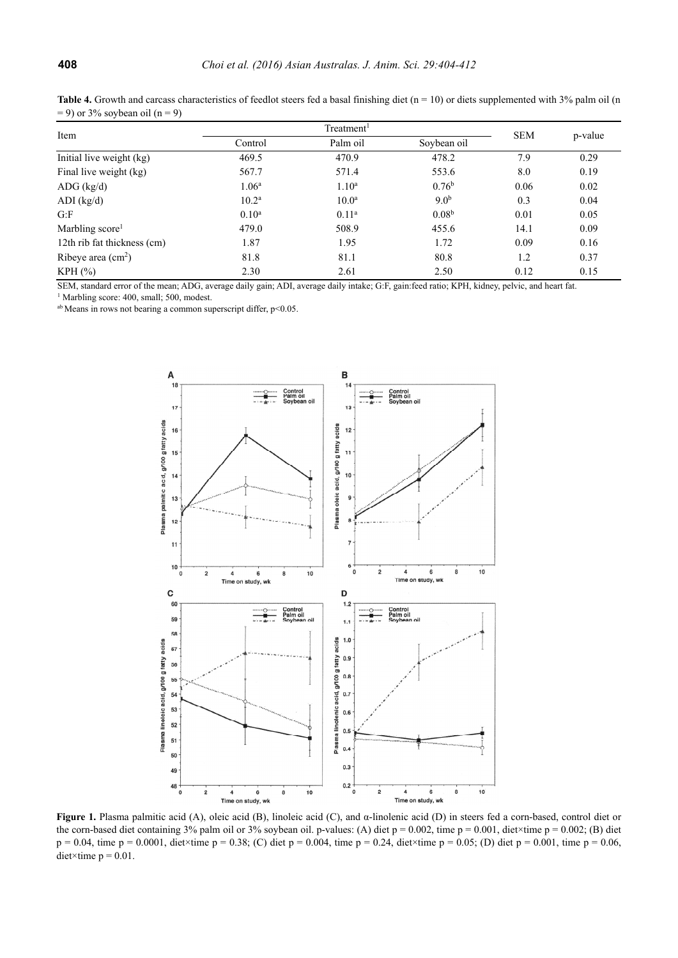| $-$ 9) OF 570 SOYDE 211 OII (11 – 9) |                   |                        |                   |            |         |  |  |
|--------------------------------------|-------------------|------------------------|-------------------|------------|---------|--|--|
| Item                                 |                   | Treatment <sup>1</sup> |                   |            |         |  |  |
|                                      | Control           | Palm oil               |                   | <b>SEM</b> | p-value |  |  |
| Initial live weight (kg)             | 469.5             | 470.9                  | 478.2             | 7.9        | 0.29    |  |  |
| Final live weight (kg)               | 567.7             | 571.4                  | 553.6             | 8.0        | 0.19    |  |  |
| $ADG$ (kg/d)                         | 1.06 <sup>a</sup> | 1.10 <sup>a</sup>      | 0.76 <sup>b</sup> | 0.06       | 0.02    |  |  |
| $ADI$ (kg/d)                         | $10.2^{\rm a}$    | 10.0 <sup>a</sup>      | 9.0 <sup>b</sup>  | 0.3        | 0.04    |  |  |
| G: F                                 | $0.10^a$          | 0.11 <sup>a</sup>      | 0.08 <sup>b</sup> | 0.01       | 0.05    |  |  |
| Marbling score <sup>1</sup>          | 479.0             | 508.9                  | 455.6             | 14.1       | 0.09    |  |  |
| 12th rib fat thickness (cm)          | 1.87              | 1.95                   | 1.72              | 0.09       | 0.16    |  |  |
| Ribeye area $(cm2)$                  | 81.8              | 81.1                   | 80.8              | 1.2        | 0.37    |  |  |
| KPH(%)                               | 2.30              | 2.61                   | 2.50              | 0.12       | 0.15    |  |  |

**Table 4.** Growth and carcass characteristics of feedlot steers fed a basal finishing diet  $(n = 10)$  or diets supplemented with 3% palm oil  $(n = 10)$  $= 90/2 - 1.$  so  $= 1/\sqrt{2}$ 

SEM, standard error of the mean; ADG, average daily gain; ADI, average daily intake; G:F, gain:feed ratio; KPH, kidney, pelvic, and heart fat.

<sup>1</sup> Marbling score: 400, small; 500, modest.

ab Means in rows not bearing a common superscript differ, p<0.05.



**Figure 1.** Plasma palmitic acid (A), oleic acid (B), linoleic acid (C), and α-linolenic acid (D) in steers fed a corn-based, control diet or the corn-based diet containing 3% palm oil or 3% soybean oil. p-values: (A) diet  $p = 0.002$ , time  $p = 0.001$ , diet×time  $p = 0.002$ ; (B) diet  $p = 0.04$ , time  $p = 0.0001$ , diet×time  $p = 0.38$ ; (C) diet  $p = 0.004$ , time  $p = 0.24$ , diet×time  $p = 0.05$ ; (D) diet  $p = 0.001$ , time  $p = 0.06$ , diet×time  $p = 0.01$ .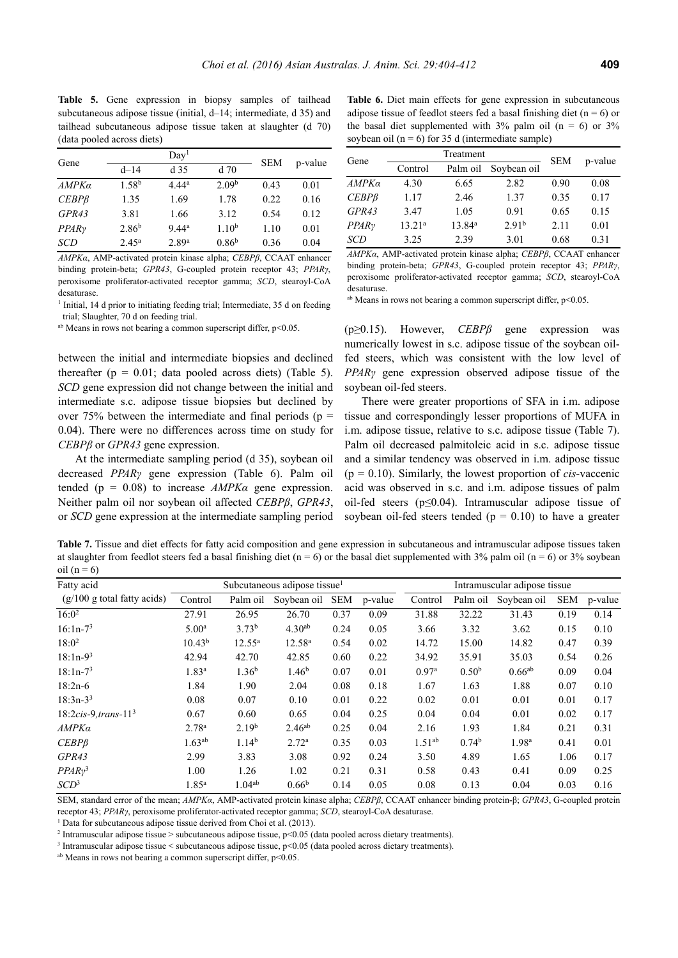Table 5. Gene expression in biopsy samples of tailhead subcutaneous adipose tissue (initial, d–14; intermediate, d 35) and tailhead subcutaneous adipose tissue taken at slaughter (d 70) (data pooled across diets)

| Gene              |                   | Day <sup>1</sup>  | <b>SEM</b>        | p-value |      |
|-------------------|-------------------|-------------------|-------------------|---------|------|
|                   | $d - 14$          | d <sub>35</sub>   | $d$ 70            |         |      |
| AMPKa             | 1.58 <sup>b</sup> | 4.44a             | 2.09 <sup>b</sup> | 0.43    | 0.01 |
| $CEBP\beta$       | 1.35              | 1.69              | 1.78              | 0.22    | 0.16 |
| GPR43             | 3.81              | 1.66              | 3.12              | 0.54    | 0.12 |
| PPAR <sub>Y</sub> | 2.86 <sup>b</sup> | 9.44 <sup>a</sup> | 1.10 <sup>b</sup> | 1.10    | 0.01 |
| SCD               | $2.45^{\rm a}$    | 2.89 <sup>a</sup> | 0.86 <sup>b</sup> | 0.36    | 0.04 |

*AMPKα*, AMP-activated protein kinase alpha; *CEBPβ*, CCAAT enhancer binding protein-beta; *GPR43*, G-coupled protein receptor 43; *PPARγ*, peroxisome proliferator-activated receptor gamma; *SCD*, stearoyl-CoA desaturase.

<sup>1</sup> Initial, 14 d prior to initiating feeding trial; Intermediate, 35 d on feeding trial; Slaughter, 70 d on feeding trial.

 $a<sup>b</sup>$  Means in rows not bearing a common superscript differ,  $p<0.05$ .

between the initial and intermediate biopsies and declined thereafter  $(p = 0.01$ ; data pooled across diets) (Table 5). *SCD* gene expression did not change between the initial and intermediate s.c. adipose tissue biopsies but declined by over 75% between the intermediate and final periods ( $p =$ 0.04). There were no differences across time on study for *CEBPβ* or *GPR43* gene expression.

At the intermediate sampling period (d 35), soybean oil decreased *PPARγ* gene expression (Table 6). Palm oil tended (p = 0.08) to increase *AMPKα* gene expression. Neither palm oil nor soybean oil affected *CEBPβ*, *GPR43*, or *SCD* gene expression at the intermediate sampling period

**Table 6.** Diet main effects for gene expression in subcutaneous adipose tissue of feedlot steers fed a basal finishing diet ( $n = 6$ ) or the basal diet supplemented with  $3\%$  palm oil (n = 6) or  $3\%$ soybean oil ( $n = 6$ ) for 35 d (intermediate sample)

| Gene              |           | <b>SEM</b>         | p-value           |      |      |
|-------------------|-----------|--------------------|-------------------|------|------|
|                   | Control   | Palm oil           | Soybean oil       |      |      |
| AMPKa             | 4.30      | 6.65               | 2.82              | 0.90 | 0.08 |
| $CEBP\beta$       | 1.17      | 2.46               | 1.37              | 0.35 | 0.17 |
| GPR43             | 3.47      | 1.05               | 0.91              | 0.65 | 0.15 |
| PPAR <sub>Y</sub> | $13.21^a$ | 13.84 <sup>a</sup> | 2.91 <sup>b</sup> | 2.11 | 0.01 |
| SCD               | 3.25      | 2.39               | 3.01              | 0.68 | 0.31 |

*AMPKα*, AMP-activated protein kinase alpha; *CEBPβ*, CCAAT enhancer binding protein-beta; *GPR43*, G-coupled protein receptor 43; *PPARγ*, peroxisome proliferator-activated receptor gamma; *SCD*, stearoyl-CoA desaturase.

 $a<sup>b</sup>$  Means in rows not bearing a common superscript differ,  $p<0.05$ .

(p≥0.15). However, *CEBPβ* gene expression was numerically lowest in s.c. adipose tissue of the soybean oilfed steers, which was consistent with the low level of *PPARγ* gene expression observed adipose tissue of the soybean oil-fed steers.

There were greater proportions of SFA in i.m. adipose tissue and correspondingly lesser proportions of MUFA in i.m. adipose tissue, relative to s.c. adipose tissue (Table 7). Palm oil decreased palmitoleic acid in s.c. adipose tissue and a similar tendency was observed in i.m. adipose tissue  $(p = 0.10)$ . Similarly, the lowest proportion of *cis*-vaccenic acid was observed in s.c. and i.m. adipose tissues of palm oil-fed steers (p≤0.04). Intramuscular adipose tissue of soybean oil-fed steers tended ( $p = 0.10$ ) to have a greater

**Table 7.** Tissue and diet effects for fatty acid composition and gene expression in subcutaneous and intramuscular adipose tissues taken at slaughter from feedlot steers fed a basal finishing diet (n = 6) or the basal diet supplemented with 3% palm oil (n = 6) or 3% soybean oil  $(n = 6)$ 

| Fatty acid                     | Subcutaneous adipose tissue <sup>1</sup> |                   |                    |            | Intramuscular adipose tissue |                   |                   |                   |            |         |
|--------------------------------|------------------------------------------|-------------------|--------------------|------------|------------------------------|-------------------|-------------------|-------------------|------------|---------|
| $(g/100 g)$ total fatty acids) | Control                                  | Palm oil          | Soybean oil        | <b>SEM</b> | p-value                      | Control           | Palm oil          | Soybean oil       | <b>SEM</b> | p-value |
| $16:0^2$                       | 27.91                                    | 26.95             | 26.70              | 0.37       | 0.09                         | 31.88             | 32.22             | 31.43             | 0.19       | 0.14    |
| $16:1n-73$                     | 5.00 <sup>a</sup>                        | 3.73 <sup>b</sup> | 4.30 <sup>ab</sup> | 0.24       | 0.05                         | 3.66              | 3.32              | 3.62              | 0.15       | 0.10    |
| $18:0^2$                       | $10.43^{b}$                              | $12.55^a$         | $12.58^{a}$        | 0.54       | 0.02                         | 14.72             | 15.00             | 14.82             | 0.47       | 0.39    |
| $18:1n-93$                     | 42.94                                    | 42.70             | 42.85              | 0.60       | 0.22                         | 34.92             | 35.91             | 35.03             | 0.54       | 0.26    |
| $18:1n-73$                     | 1.83 <sup>a</sup>                        | 1.36 <sup>b</sup> | 1.46 <sup>b</sup>  | 0.07       | 0.01                         | 0.97 <sup>a</sup> | 0.50 <sup>b</sup> | $0.66^{ab}$       | 0.09       | 0.04    |
| $18:2n-6$                      | 1.84                                     | 1.90              | 2.04               | 0.08       | 0.18                         | 1.67              | 1.63              | 1.88              | 0.07       | 0.10    |
| $18:3n-3^3$                    | 0.08                                     | 0.07              | 0.10               | 0.01       | 0.22                         | 0.02              | 0.01              | 0.01              | 0.01       | 0.17    |
| $18:2cis-9, trans-113$         | 0.67                                     | 0.60              | 0.65               | 0.04       | 0.25                         | 0.04              | 0.04              | 0.01              | 0.02       | 0.17    |
| AMPKa                          | 2.78 <sup>a</sup>                        | 2.19 <sup>b</sup> | $2.46^{ab}$        | 0.25       | 0.04                         | 2.16              | 1.93              | 1.84              | 0.21       | 0.31    |
| CEBPB                          | $1.63^{ab}$                              | 1.14 <sup>b</sup> | 2.72 <sup>a</sup>  | 0.35       | 0.03                         | $1.51^{ab}$       | 0.74 <sup>b</sup> | 1.98 <sup>a</sup> | 0.41       | 0.01    |
| GPR43                          | 2.99                                     | 3.83              | 3.08               | 0.92       | 0.24                         | 3.50              | 4.89              | 1.65              | 1.06       | 0.17    |
| $PPARy^3$                      | 1.00                                     | 1.26              | 1.02               | 0.21       | 0.31                         | 0.58              | 0.43              | 0.41              | 0.09       | 0.25    |
| SCD <sup>3</sup>               | 1.85 <sup>a</sup>                        | $1.04^{ab}$       | 0.66 <sup>b</sup>  | 0.14       | 0.05                         | 0.08              | 0.13              | 0.04              | 0.03       | 0.16    |

SEM, standard error of the mean; *AMPKα*, AMP-activated protein kinase alpha; *CEBPβ*, CCAAT enhancer binding protein-β; *GPR43*, G-coupled protein receptor 43; *PPARγ*, peroxisome proliferator-activated receptor gamma; *SCD*, stearoyl-CoA desaturase. 1

<sup>1</sup> Data for subcutaneous adipose tissue derived from Choi et al. (2013).

<sup>2</sup> Intramuscular adipose tissue > subcutaneous adipose tissue,  $p$ <0.05 (data pooled across dietary treatments).

<sup>3</sup> Intramuscular adipose tissue < subcutaneous adipose tissue,  $p$ <0.05 (data pooled across dietary treatments). <sup>ab</sup> Means in rows not bearing a common superscript differ,  $p$ <0.05.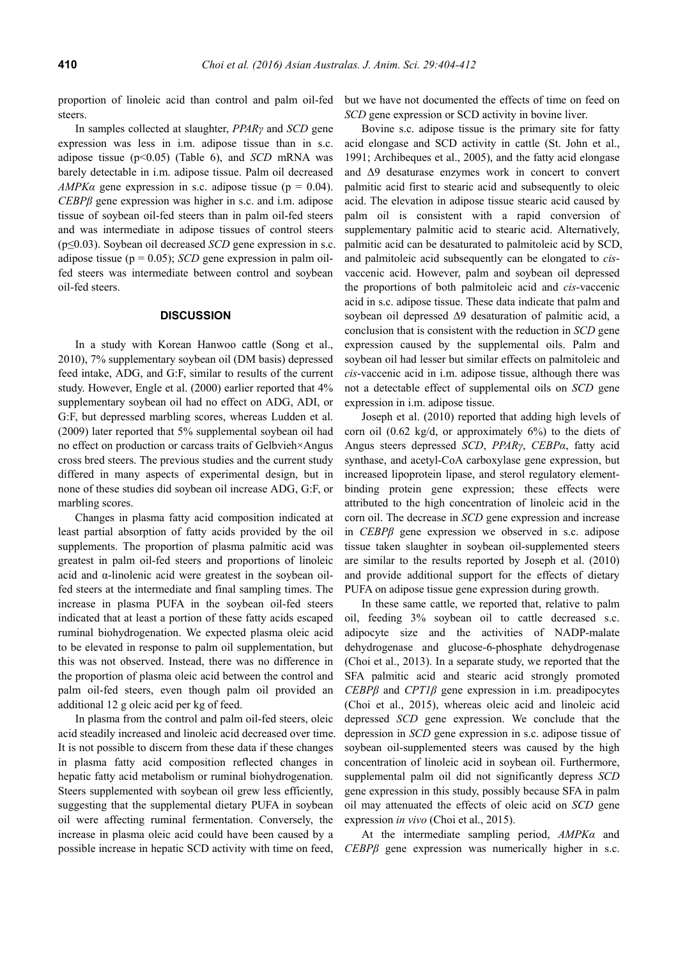proportion of linoleic acid than control and palm oil-fed steers.

In samples collected at slaughter, *PPARγ* and *SCD* gene expression was less in i.m. adipose tissue than in s.c. adipose tissue (p<0.05) (Table 6), and *SCD* mRNA was barely detectable in i.m. adipose tissue. Palm oil decreased *AMPKa* gene expression in s.c. adipose tissue ( $p = 0.04$ ). *CEBPβ* gene expression was higher in s.c. and i.m. adipose tissue of soybean oil-fed steers than in palm oil-fed steers and was intermediate in adipose tissues of control steers (p≤0.03). Soybean oil decreased *SCD* gene expression in s.c. adipose tissue ( $p = 0.05$ ); *SCD* gene expression in palm oilfed steers was intermediate between control and soybean oil-fed steers.

## **DISCUSSION**

In a study with Korean Hanwoo cattle (Song et al., 2010), 7% supplementary soybean oil (DM basis) depressed feed intake, ADG, and G:F, similar to results of the current study. However, Engle et al. (2000) earlier reported that 4% supplementary soybean oil had no effect on ADG, ADI, or G:F, but depressed marbling scores, whereas Ludden et al. (2009) later reported that 5% supplemental soybean oil had no effect on production or carcass traits of Gelbvieh×Angus cross bred steers. The previous studies and the current study differed in many aspects of experimental design, but in none of these studies did soybean oil increase ADG, G:F, or marbling scores.

Changes in plasma fatty acid composition indicated at least partial absorption of fatty acids provided by the oil supplements. The proportion of plasma palmitic acid was greatest in palm oil-fed steers and proportions of linoleic acid and α-linolenic acid were greatest in the soybean oilfed steers at the intermediate and final sampling times. The increase in plasma PUFA in the soybean oil-fed steers indicated that at least a portion of these fatty acids escaped ruminal biohydrogenation. We expected plasma oleic acid to be elevated in response to palm oil supplementation, but this was not observed. Instead, there was no difference in the proportion of plasma oleic acid between the control and palm oil-fed steers, even though palm oil provided an additional 12 g oleic acid per kg of feed.

In plasma from the control and palm oil-fed steers, oleic acid steadily increased and linoleic acid decreased over time. It is not possible to discern from these data if these changes in plasma fatty acid composition reflected changes in hepatic fatty acid metabolism or ruminal biohydrogenation. Steers supplemented with soybean oil grew less efficiently, suggesting that the supplemental dietary PUFA in soybean oil were affecting ruminal fermentation. Conversely, the increase in plasma oleic acid could have been caused by a possible increase in hepatic SCD activity with time on feed, but we have not documented the effects of time on feed on *SCD* gene expression or SCD activity in bovine liver.

Bovine s.c. adipose tissue is the primary site for fatty acid elongase and SCD activity in cattle (St. John et al., 1991; Archibeques et al., 2005), and the fatty acid elongase and Δ9 desaturase enzymes work in concert to convert palmitic acid first to stearic acid and subsequently to oleic acid. The elevation in adipose tissue stearic acid caused by palm oil is consistent with a rapid conversion of supplementary palmitic acid to stearic acid. Alternatively, palmitic acid can be desaturated to palmitoleic acid by SCD, and palmitoleic acid subsequently can be elongated to *cis*vaccenic acid. However, palm and soybean oil depressed the proportions of both palmitoleic acid and *cis*-vaccenic acid in s.c. adipose tissue. These data indicate that palm and soybean oil depressed Δ9 desaturation of palmitic acid, a conclusion that is consistent with the reduction in *SCD* gene expression caused by the supplemental oils. Palm and soybean oil had lesser but similar effects on palmitoleic and *cis*-vaccenic acid in i.m. adipose tissue, although there was not a detectable effect of supplemental oils on *SCD* gene expression in i.m. adipose tissue.

Joseph et al. (2010) reported that adding high levels of corn oil  $(0.62 \text{ kg/d})$ , or approximately  $6\%$ ) to the diets of Angus steers depressed *SCD*, *PPARγ*, *CEBPα*, fatty acid synthase, and acetyl-CoA carboxylase gene expression, but increased lipoprotein lipase, and sterol regulatory elementbinding protein gene expression; these effects were attributed to the high concentration of linoleic acid in the corn oil. The decrease in *SCD* gene expression and increase in *CEBPβ* gene expression we observed in s.c. adipose tissue taken slaughter in soybean oil-supplemented steers are similar to the results reported by Joseph et al. (2010) and provide additional support for the effects of dietary PUFA on adipose tissue gene expression during growth.

In these same cattle, we reported that, relative to palm oil, feeding 3% soybean oil to cattle decreased s.c. adipocyte size and the activities of NADP-malate dehydrogenase and glucose-6-phosphate dehydrogenase (Choi et al., 2013). In a separate study, we reported that the SFA palmitic acid and stearic acid strongly promoted *CEBPβ* and *CPT1β* gene expression in i.m. preadipocytes (Choi et al., 2015), whereas oleic acid and linoleic acid depressed *SCD* gene expression. We conclude that the depression in *SCD* gene expression in s.c. adipose tissue of soybean oil-supplemented steers was caused by the high concentration of linoleic acid in soybean oil. Furthermore, supplemental palm oil did not significantly depress *SCD* gene expression in this study, possibly because SFA in palm oil may attenuated the effects of oleic acid on *SCD* gene expression *in vivo* (Choi et al., 2015).

At the intermediate sampling period, *AMPKα* and *CEBPβ* gene expression was numerically higher in s.c.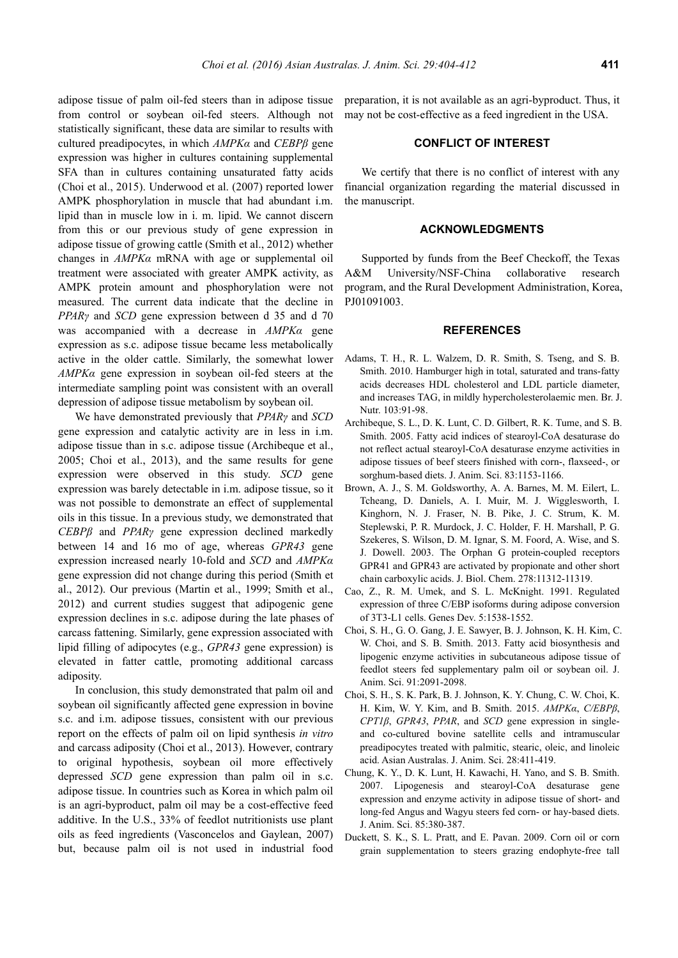adipose tissue of palm oil-fed steers than in adipose tissue from control or soybean oil-fed steers. Although not statistically significant, these data are similar to results with cultured preadipocytes, in which *AMPKα* and *CEBPβ* gene expression was higher in cultures containing supplemental SFA than in cultures containing unsaturated fatty acids (Choi et al., 2015). Underwood et al. (2007) reported lower AMPK phosphorylation in muscle that had abundant i.m. lipid than in muscle low in i. m. lipid. We cannot discern from this or our previous study of gene expression in adipose tissue of growing cattle (Smith et al., 2012) whether changes in *AMPKα* mRNA with age or supplemental oil treatment were associated with greater AMPK activity, as AMPK protein amount and phosphorylation were not measured. The current data indicate that the decline in *PPARγ* and *SCD* gene expression between d 35 and d 70 was accompanied with a decrease in *AMPKα* gene expression as s.c. adipose tissue became less metabolically active in the older cattle. Similarly, the somewhat lower *AMPKα* gene expression in soybean oil-fed steers at the intermediate sampling point was consistent with an overall depression of adipose tissue metabolism by soybean oil.

We have demonstrated previously that *PPARγ* and *SCD* gene expression and catalytic activity are in less in i.m. adipose tissue than in s.c. adipose tissue (Archibeque et al., 2005; Choi et al., 2013), and the same results for gene expression were observed in this study. *SCD* gene expression was barely detectable in i.m. adipose tissue, so it was not possible to demonstrate an effect of supplemental oils in this tissue. In a previous study, we demonstrated that *CEBPβ* and *PPARγ* gene expression declined markedly between 14 and 16 mo of age, whereas *GPR43* gene expression increased nearly 10-fold and *SCD* and *AMPKα* gene expression did not change during this period (Smith et al., 2012). Our previous (Martin et al., 1999; Smith et al., 2012) and current studies suggest that adipogenic gene expression declines in s.c. adipose during the late phases of carcass fattening. Similarly, gene expression associated with lipid filling of adipocytes (e.g., *GPR43* gene expression) is elevated in fatter cattle, promoting additional carcass adiposity.

In conclusion, this study demonstrated that palm oil and soybean oil significantly affected gene expression in bovine s.c. and i.m. adipose tissues, consistent with our previous report on the effects of palm oil on lipid synthesis *in vitro*  and carcass adiposity (Choi et al., 2013). However, contrary to original hypothesis, soybean oil more effectively depressed *SCD* gene expression than palm oil in s.c. adipose tissue. In countries such as Korea in which palm oil is an agri-byproduct, palm oil may be a cost-effective feed additive. In the U.S., 33% of feedlot nutritionists use plant oils as feed ingredients (Vasconcelos and Gaylean, 2007) but, because palm oil is not used in industrial food

preparation, it is not available as an agri-byproduct. Thus, it may not be cost-effective as a feed ingredient in the USA.

# **CONFLICT OF INTEREST**

We certify that there is no conflict of interest with any financial organization regarding the material discussed in the manuscript.

## **ACKNOWLEDGMENTS**

Supported by funds from the Beef Checkoff, the Texas A&M University/NSF-China collaborative research program, and the Rural Development Administration, Korea, PJ01091003.

## **REFERENCES**

- Adams, T. H., R. L. Walzem, D. R. Smith, S. Tseng, and S. B. Smith. 2010. Hamburger high in total, saturated and trans-fatty acids decreases HDL cholesterol and LDL particle diameter, and increases TAG, in mildly hypercholesterolaemic men. Br. J. Nutr. 103:91-98.
- Archibeque, S. L., D. K. Lunt, C. D. Gilbert, R. K. Tume, and S. B. Smith. 2005. Fatty acid indices of stearoyl-CoA desaturase do not reflect actual stearoyl-CoA desaturase enzyme activities in adipose tissues of beef steers finished with corn-, flaxseed-, or sorghum-based diets. J. Anim. Sci. 83:1153-1166.
- Brown, A. J., S. M. Goldsworthy, A. A. Barnes, M. M. Eilert, L. Tcheang, D. Daniels, A. I. Muir, M. J. Wigglesworth, I. Kinghorn, N. J. Fraser, N. B. Pike, J. C. Strum, K. M. Steplewski, P. R. Murdock, J. C. Holder, F. H. Marshall, P. G. Szekeres, S. Wilson, D. M. Ignar, S. M. Foord, A. Wise, and S. J. Dowell. 2003. The Orphan G protein-coupled receptors GPR41 and GPR43 are activated by propionate and other short chain carboxylic acids. J. Biol. Chem. 278:11312-11319.
- Cao, Z., R. M. Umek, and S. L. McKnight. 1991. Regulated expression of three C/EBP isoforms during adipose conversion of 3T3-L1 cells. Genes Dev. 5:1538-1552.
- Choi, S. H., G. O. Gang, J. E. Sawyer, B. J. Johnson, K. H. Kim, C. W. Choi, and S. B. Smith. 2013. Fatty acid biosynthesis and lipogenic enzyme activities in subcutaneous adipose tissue of feedlot steers fed supplementary palm oil or soybean oil. J. Anim. Sci. 91:2091-2098.
- Choi, S. H., S. K. Park, B. J. Johnson, K. Y. Chung, C. W. Choi, K. H. Kim, W. Y. Kim, and B. Smith. 2015. *AMPKα*, *C/EBPβ*, *CPT1β*, *GPR43*, *PPAR*, and *SCD* gene expression in singleand co-cultured bovine satellite cells and intramuscular preadipocytes treated with palmitic, stearic, oleic, and linoleic acid. Asian Australas. J. Anim. Sci. 28:411-419.
- Chung, K. Y., D. K. Lunt, H. Kawachi, H. Yano, and S. B. Smith. 2007. Lipogenesis and stearoyl-CoA desaturase gene expression and enzyme activity in adipose tissue of short- and long-fed Angus and Wagyu steers fed corn- or hay-based diets. J. Anim. Sci. 85:380-387.
- Duckett, S. K., S. L. Pratt, and E. Pavan. 2009. Corn oil or corn grain supplementation to steers grazing endophyte-free tall